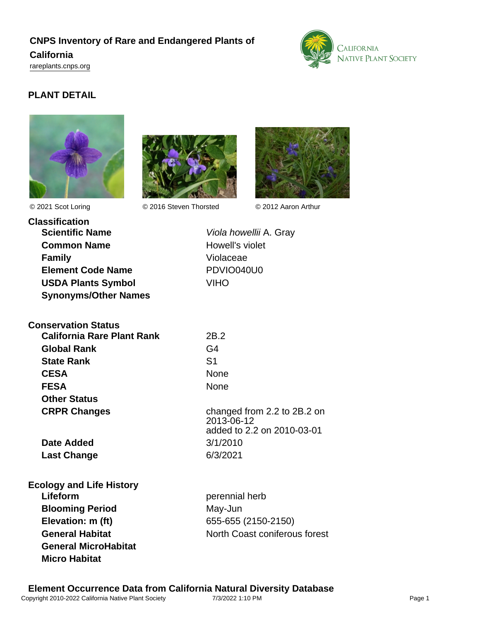# **CNPS Inventory of Rare and Endangered Plants of**

### **California**

<rareplants.cnps.org>



## **PLANT DETAIL**





© 2021 Scot Loring © 2016 Steven Thorsted © 2012 Aaron Arthur



**Classification Scientific Name** Viola howellii A. Gray **Common Name** Howell's violet **Family Violaceae Element Code Name** PDVIO040U0 **USDA Plants Symbol** VIHO **Synonyms/Other Names**

**General MicroHabitat**

**Micro Habitat**

| <b>Conservation Status</b>      |                                                                         |
|---------------------------------|-------------------------------------------------------------------------|
| California Rare Plant Rank      | 2B.2                                                                    |
| <b>Global Rank</b>              | G4                                                                      |
| <b>State Rank</b>               | S1                                                                      |
| <b>CESA</b>                     | <b>None</b>                                                             |
| <b>FESA</b>                     | None                                                                    |
| <b>Other Status</b>             |                                                                         |
| <b>CRPR Changes</b>             | changed from 2.2 to 2B.2 on<br>2013-06-12<br>added to 2.2 on 2010-03-01 |
| Date Added                      | 3/1/2010                                                                |
| <b>Last Change</b>              | 6/3/2021                                                                |
| <b>Ecology and Life History</b> |                                                                         |
| Lifeform                        | perennial herb                                                          |
| <b>Blooming Period</b>          | May-Jun                                                                 |

**Elevation: m (ft)** 655-655 (2150-2150) **General Habitat** North Coast coniferous forest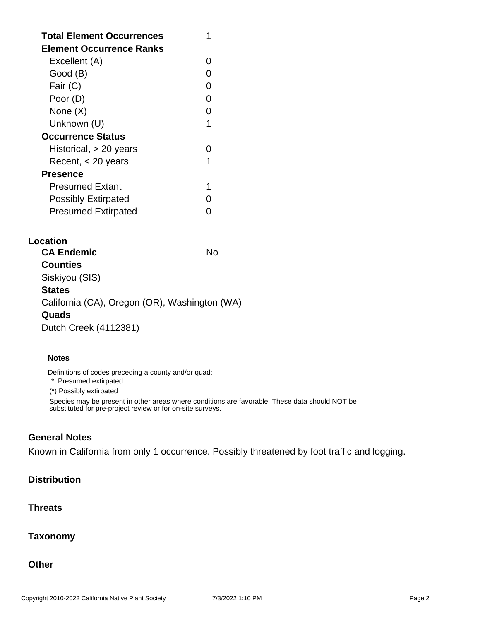| <b>Total Element Occurrences</b><br>Element Occurrence Ranks |   |
|--------------------------------------------------------------|---|
| Excellent (A)                                                |   |
| Good (B)                                                     |   |
| Fair (C)                                                     |   |
| Poor (D)                                                     |   |
| None (X)                                                     | O |
| Unknown (U)                                                  |   |
| <b>Occurrence Status</b>                                     |   |
| Historical, > 20 years                                       |   |
| Recent, < 20 years                                           |   |
| Presence                                                     |   |
| <b>Presumed Extant</b>                                       |   |
| <b>Possibly Extirpated</b>                                   |   |
| <b>Presumed Extirpated</b>                                   |   |

#### **Location**

| <b>CA Endemic</b>                             | N٥ |
|-----------------------------------------------|----|
| <b>Counties</b>                               |    |
| Siskiyou (SIS)                                |    |
| <b>States</b>                                 |    |
| California (CA), Oregon (OR), Washington (WA) |    |
| Quads                                         |    |
| Dutch Creek (4112381)                         |    |

#### **Notes**

Definitions of codes preceding a county and/or quad:

\* Presumed extirpated

(\*) Possibly extirpated

Species may be present in other areas where conditions are favorable. These data should NOT be substituted for pre-project review or for on-site surveys.

## **General Notes**

Known in California from only 1 occurrence. Possibly threatened by foot traffic and logging.

### **Distribution**

#### **Threats**

**Taxonomy**

#### **Other**